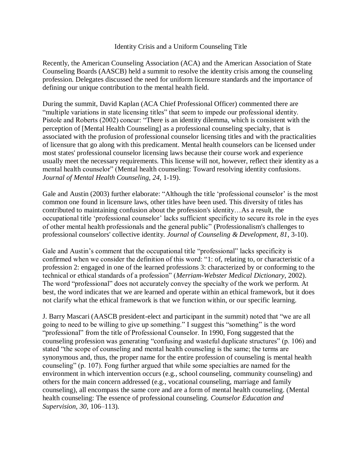## Identity Crisis and a Uniform Counseling Title

Recently, the American Counseling Association (ACA) and the American Association of State Counseling Boards (AASCB) held a summit to resolve the identity crisis among the counseling profession. Delegates discussed the need for uniform licensure standards and the importance of defining our unique contribution to the mental health field.

During the summit, David Kaplan (ACA Chief Professional Officer) commented there are "multiple variations in state licensing titles" that seem to impede our professional identity. Pistole and Roberts (2002) concur: "There is an identity dilemma, which is consistent with the perception of [Mental Health Counseling] as a professional counseling specialty, that is associated with the profusion of professional counselor licensing titles and with the practicalities of licensure that go along with this predicament. Mental health counselors can be licensed under most states' professional counselor licensing laws because their course work and experience usually meet the necessary requirements. This license will not, however, reflect their identity as a mental health counselor" (Mental health counseling: Toward resolving identity confusions. *Journal of Mental Health Counseling, 24*, 1-19).

Gale and Austin (2003) further elaborate: "Although the title 'professional counselor' is the most common one found in licensure laws, other titles have been used. This diversity of titles has contributed to maintaining confusion about the profession's identity…As a result, the occupational title ‗professional counselor' lacks sufficient specificity to secure its role in the eyes of other mental health professionals and the general public‖ (Professionalism's challenges to professional counselors' collective identity. *Journal of Counseling & Development, 81*, 3-10).

Gale and Austin's comment that the occupational title "professional" lacks specificity is confirmed when we consider the definition of this word: "1: of, relating to, or characteristic of a profession 2: engaged in one of the learned professions 3: characterized by or conforming to the technical or ethical standards of a profession" (*Merriam-Webster Medical Dictionary*, 2002). The word "professional" does not accurately convey the specialty of the work we perform. At best, the word indicates that we are learned and operate within an ethical framework, but it does not clarify what the ethical framework is that we function within, or our specific learning.

J. Barry Mascari (AASCB president-elect and participant in the summit) noted that "we are all going to need to be willing to give up something." I suggest this "something" is the word ―professional‖ from the title of Professional Counselor. In 1990, Fong suggested that the counseling profession was generating "confusing and wasteful duplicate structures" (p. 106) and stated "the scope of counseling and mental health counseling is the same; the terms are synonymous and, thus, the proper name for the entire profession of counseling is mental health counseling" (p. 107). Fong further argued that while some specialties are named for the environment in which intervention occurs (e.g., school counseling, community counseling) and others for the main concern addressed (e.g., vocational counseling, marriage and family counseling), all encompass the same core and are a form of mental health counseling. (Mental health counseling: The essence of professional counseling. *Counselor Education and Supervision, 30*, 106–113).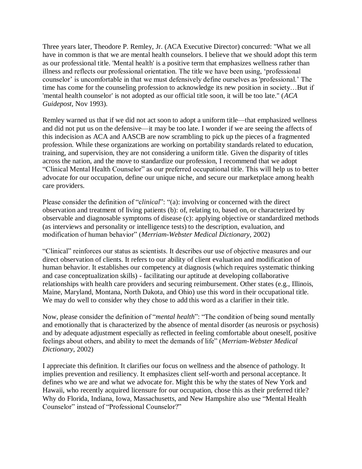Three years later, Theodore P. Remley, Jr. (ACA Executive Director) concurred: "What we all have in common is that we are mental health counselors. I believe that we should adopt this term as our professional title. 'Mental health' is a positive term that emphasizes wellness rather than illness and reflects our professional orientation. The title we have been using, ‗professional counselor' is uncomfortable in that we must defensively define ourselves as 'professional.' The time has come for the counseling profession to acknowledge its new position in society…But if 'mental health counselor' is not adopted as our official title soon, it will be too late." (*ACA Guidepost*, Nov 1993).

Remley warned us that if we did not act soon to adopt a uniform title—that emphasized wellness and did not put us on the defensive—it may be too late. I wonder if we are seeing the affects of this indecision as ACA and AASCB are now scrambling to pick up the pieces of a fragmented profession. While these organizations are working on portability standards related to education, training, and supervision, they are not considering a uniform title. Given the disparity of titles across the nation, and the move to standardize our profession, I recommend that we adopt "Clinical Mental Health Counselor" as our preferred occupational title. This will help us to better advocate for our occupation, define our unique niche, and secure our marketplace among health care providers.

Please consider the definition of "*clinical*": "(a): involving or concerned with the direct observation and treatment of living patients (b): of, relating to, based on, or characterized by observable and diagnosable symptoms of disease (c): applying objective or standardized methods (as interviews and personality or intelligence tests) to the description, evaluation, and modification of human behavior" (*Merriam-Webster Medical Dictionary*, 2002)

―Clinical‖ reinforces our status as scientists. It describes our use of objective measures and our direct observation of clients. It refers to our ability of client evaluation and modification of human behavior. It establishes our competency at diagnosis (which requires systematic thinking and case conceptualization skills) - facilitating our aptitude at developing collaborative relationships with health care providers and securing reimbursement. Other states (e.g., Illinois, Maine, Maryland, Montana, North Dakota, and Ohio) use this word in their occupational title. We may do well to consider why they chose to add this word as a clarifier in their title.

Now, please consider the definition of "*mental health*": "The condition of being sound mentally and emotionally that is characterized by the absence of mental disorder (as neurosis or psychosis) and by adequate adjustment especially as reflected in feeling comfortable about oneself, positive feelings about others, and ability to meet the demands of life" (Merriam-Webster Medical *Dictionary*, 2002)

I appreciate this definition. It clarifies our focus on wellness and the absence of pathology. It implies prevention and resiliency. It emphasizes client self-worth and personal acceptance. It defines who we are and what we advocate for. Might this be why the states of New York and Hawaii, who recently acquired licensure for our occupation, chose this as their preferred title? Why do Florida, Indiana, Iowa, Massachusetts, and New Hampshire also use "Mental Health Counselor" instead of "Professional Counselor?"